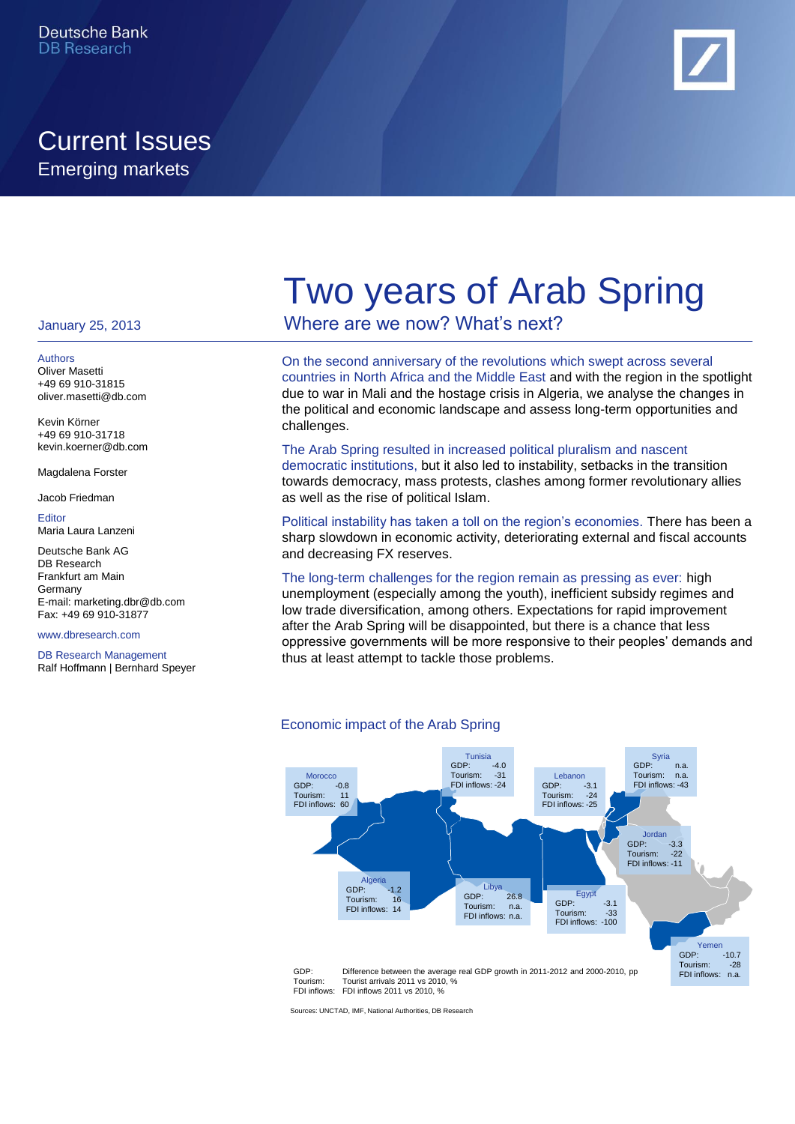### Current Issues Emerging markets



#### January 25, 2013

Authors Oliver Masetti +49 69 910-31815 oliver.masetti@db.com

Kevin Körner +49 69 910-31718 kevin.koerner@db.com

Magdalena Forster

Jacob Friedman

**Editor** Maria Laura Lanzeni

Deutsche Bank AG DB Research Frankfurt am Main Germany E-mail: marketing.dbr@db.com Fax: +49 69 910-31877

www.dbresearch.com

DB Research Management Ralf Hoffmann | Bernhard Speyer

# Two years of Arab Spring

Where are we now? What's next?

On the second anniversary of the revolutions which swept across several countries in North Africa and the Middle East and with the region in the spotlight due to war in Mali and the hostage crisis in Algeria, we analyse the changes in the political and economic landscape and assess long-term opportunities and challenges.

#### The Arab Spring resulted in increased political pluralism and nascent

democratic institutions, but it also led to instability, setbacks in the transition towards democracy, mass protests, clashes among former revolutionary allies as well as the rise of political Islam.

Political instability has taken a toll on the region's economies. There has been a sharp slowdown in economic activity, deteriorating external and fiscal accounts and decreasing FX reserves.

### The long-term challenges for the region remain as pressing as ever: high

unemployment (especially among the youth), inefficient subsidy regimes and low trade diversification, among others. Expectations for rapid improvement after the Arab Spring will be disappointed, but there is a chance that less oppressive governments will be more responsive to their peoples' demands and thus at least attempt to tackle those problems.



Economic impact of the Arab Spring

Sources: UNCTAD, IMF, National Authorities, DB Research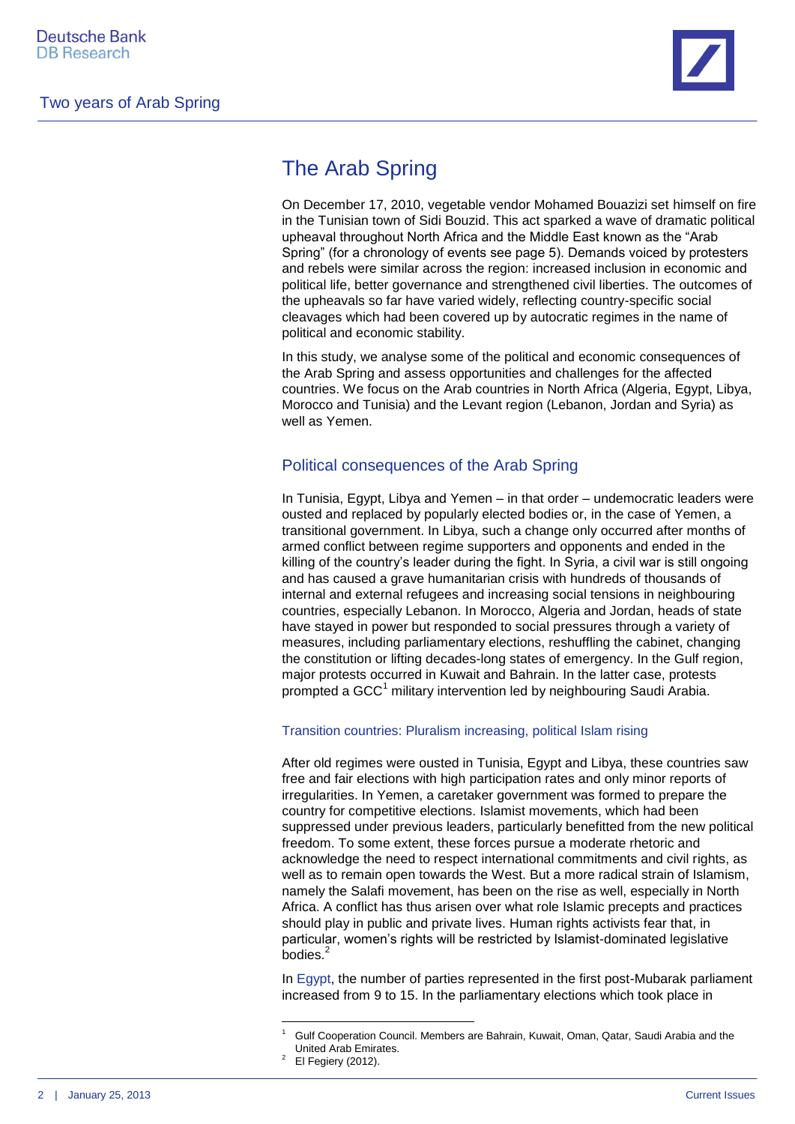

### The Arab Spring

On December 17, 2010, vegetable vendor Mohamed Bouazizi set himself on fire in the Tunisian town of Sidi Bouzid. This act sparked a wave of dramatic political upheaval throughout North Africa and the Middle East known as the "Arab Spring" (for a chronology of events see page 5). Demands voiced by protesters and rebels were similar across the region: increased inclusion in economic and political life, better governance and strengthened civil liberties. The outcomes of the upheavals so far have varied widely, reflecting country-specific social cleavages which had been covered up by autocratic regimes in the name of political and economic stability.

In this study, we analyse some of the political and economic consequences of the Arab Spring and assess opportunities and challenges for the affected countries. We focus on the Arab countries in North Africa (Algeria, Egypt, Libya, Morocco and Tunisia) and the Levant region (Lebanon, Jordan and Syria) as well as Yemen.

### Political consequences of the Arab Spring

In Tunisia, Egypt, Libya and Yemen – in that order – undemocratic leaders were ousted and replaced by popularly elected bodies or, in the case of Yemen, a transitional government. In Libya, such a change only occurred after months of armed conflict between regime supporters and opponents and ended in the killing of the country's leader during the fight. In Syria, a civil war is still ongoing and has caused a grave humanitarian crisis with hundreds of thousands of internal and external refugees and increasing social tensions in neighbouring countries, especially Lebanon. In Morocco, Algeria and Jordan, heads of state have stayed in power but responded to social pressures through a variety of measures, including parliamentary elections, reshuffling the cabinet, changing the constitution or lifting decades-long states of emergency. In the Gulf region, major protests occurred in Kuwait and Bahrain. In the latter case, protests prompted a GCC<sup>1</sup> military intervention led by neighbouring Saudi Arabia.

### Transition countries: Pluralism increasing, political Islam rising

After old regimes were ousted in Tunisia, Egypt and Libya, these countries saw free and fair elections with high participation rates and only minor reports of irregularities. In Yemen, a caretaker government was formed to prepare the country for competitive elections. Islamist movements, which had been suppressed under previous leaders, particularly benefitted from the new political freedom. To some extent, these forces pursue a moderate rhetoric and acknowledge the need to respect international commitments and civil rights, as well as to remain open towards the West. But a more radical strain of Islamism, namely the Salafi movement, has been on the rise as well, especially in North Africa. A conflict has thus arisen over what role Islamic precepts and practices should play in public and private lives. Human rights activists fear that, in particular, women's rights will be restricted by Islamist-dominated legislative bodies.<sup>2</sup>

In Egypt, the number of parties represented in the first post-Mubarak parliament increased from 9 to 15. In the parliamentary elections which took place in

**.** 

<sup>1</sup> Gulf Cooperation Council. Members are Bahrain, Kuwait, Oman, Qatar, Saudi Arabia and the United Arab Emirates.

 $2$  El Fegiery (2012).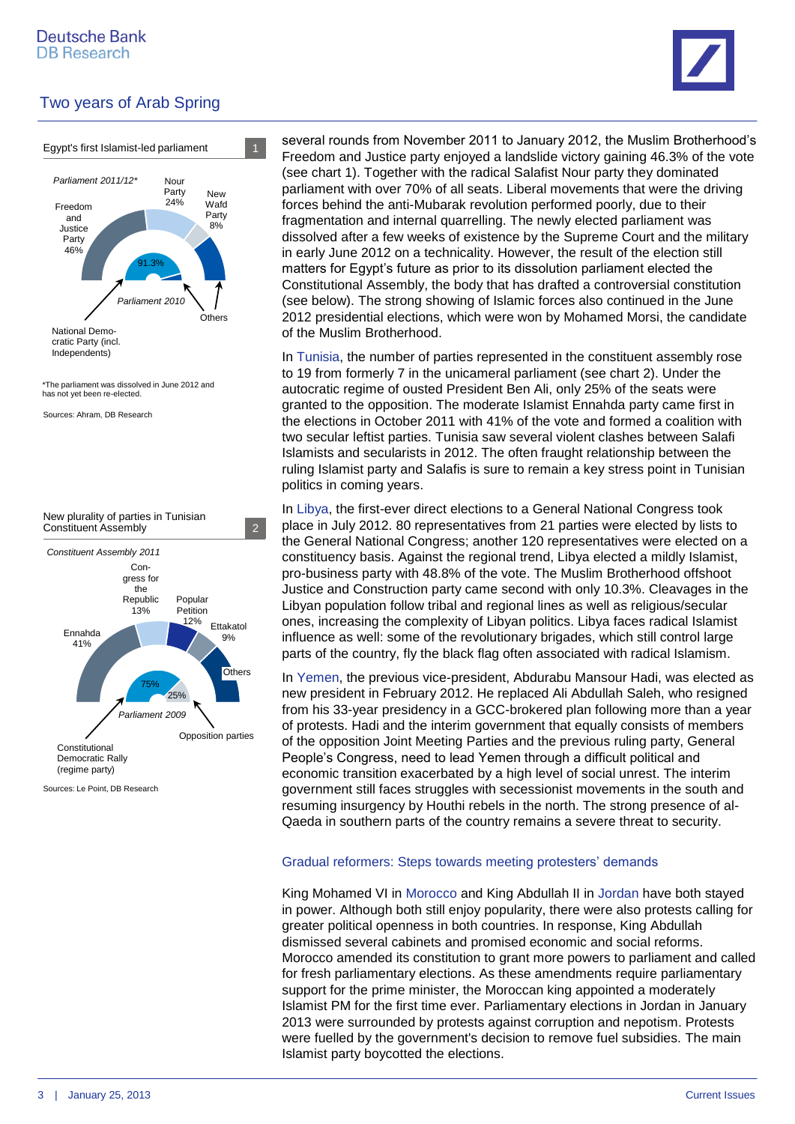



Sources: Le Point, DB Research

several rounds from November 2011 to January 2012, the Muslim Brotherhood's Freedom and Justice party enjoyed a landslide victory gaining 46.3% of the vote (see chart 1). Together with the radical Salafist Nour party they dominated parliament with over 70% of all seats. Liberal movements that were the driving forces behind the anti-Mubarak revolution performed poorly, due to their fragmentation and internal quarrelling. The newly elected parliament was dissolved after a few weeks of existence by the Supreme Court and the military in early June 2012 on a technicality. However, the result of the election still matters for Egypt's future as prior to its dissolution parliament elected the Constitutional Assembly, the body that has drafted a controversial constitution (see below). The strong showing of Islamic forces also continued in the June 2012 presidential elections, which were won by Mohamed Morsi, the candidate of the Muslim Brotherhood.

In Tunisia, the number of parties represented in the constituent assembly rose to 19 from formerly 7 in the unicameral parliament (see chart 2). Under the autocratic regime of ousted President Ben Ali, only 25% of the seats were granted to the opposition. The moderate Islamist Ennahda party came first in the elections in October 2011 with 41% of the vote and formed a coalition with two secular leftist parties. Tunisia saw several violent clashes between Salafi Islamists and secularists in 2012. The often fraught relationship between the ruling Islamist party and Salafis is sure to remain a key stress point in Tunisian politics in coming years.

In Libya, the first-ever direct elections to a General National Congress took place in July 2012. 80 representatives from 21 parties were elected by lists to the General National Congress; another 120 representatives were elected on a constituency basis. Against the regional trend, Libya elected a mildly Islamist, pro-business party with 48.8% of the vote. The Muslim Brotherhood offshoot Justice and Construction party came second with only 10.3%. Cleavages in the Libyan population follow tribal and regional lines as well as religious/secular ones, increasing the complexity of Libyan politics. Libya faces radical Islamist influence as well: some of the revolutionary brigades, which still control large parts of the country, fly the black flag often associated with radical Islamism.

In Yemen, the previous vice-president, Abdurabu Mansour Hadi, was elected as new president in February 2012. He replaced Ali Abdullah Saleh, who resigned from his 33-year presidency in a GCC-brokered plan following more than a year of protests. Hadi and the interim government that equally consists of members of the opposition Joint Meeting Parties and the previous ruling party, General People's Congress, need to lead Yemen through a difficult political and economic transition exacerbated by a high level of social unrest. The interim government still faces struggles with secessionist movements in the south and resuming insurgency by Houthi rebels in the north. The strong presence of al-Qaeda in southern parts of the country remains a severe threat to security.

### Gradual reformers: Steps towards meeting protesters' demands

King Mohamed VI in Morocco and King Abdullah II in Jordan have both stayed in power. Although both still enjoy popularity, there were also protests calling for greater political openness in both countries. In response, King Abdullah dismissed several cabinets and promised economic and social reforms. Morocco amended its constitution to grant more powers to parliament and called for fresh parliamentary elections. As these amendments require parliamentary support for the prime minister, the Moroccan king appointed a moderately Islamist PM for the first time ever. Parliamentary elections in Jordan in January 2013 were surrounded by protests against corruption and nepotism. Protests were fuelled by the government's decision to remove fuel subsidies. The main Islamist party boycotted the elections.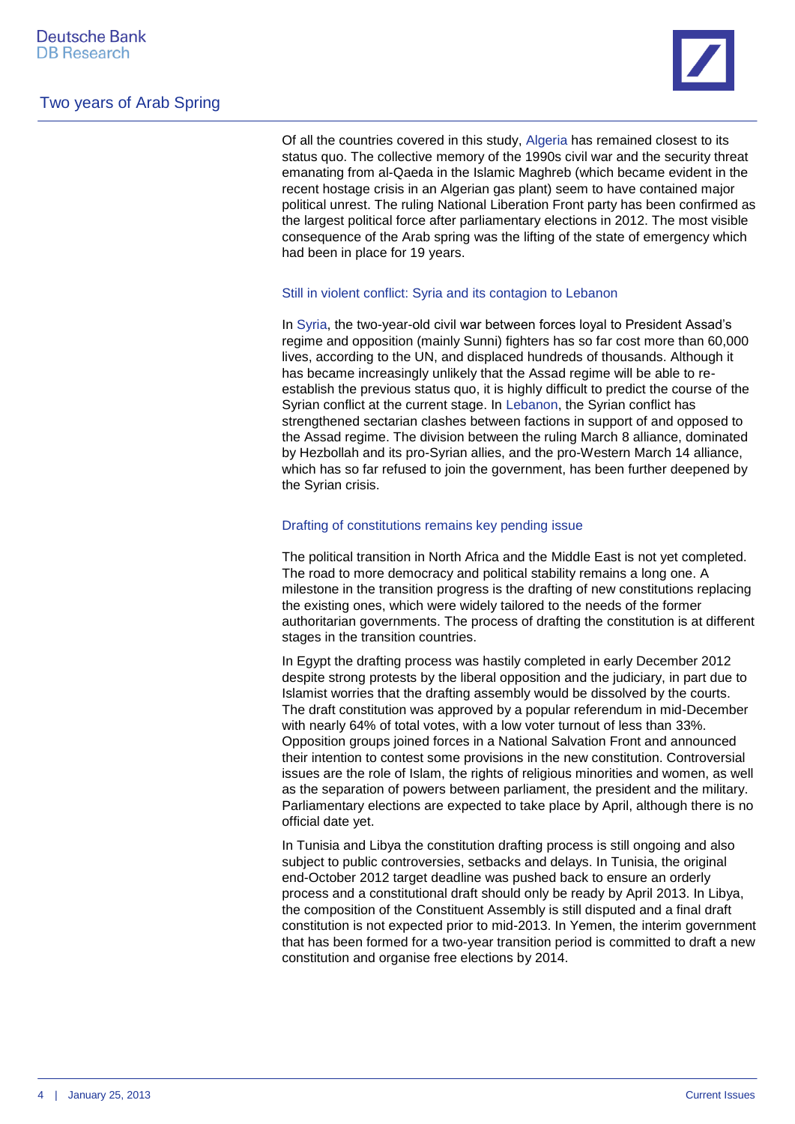

Of all the countries covered in this study, Algeria has remained closest to its status quo. The collective memory of the 1990s civil war and the security threat emanating from al-Qaeda in the Islamic Maghreb (which became evident in the recent hostage crisis in an Algerian gas plant) seem to have contained major political unrest. The ruling National Liberation Front party has been confirmed as the largest political force after parliamentary elections in 2012. The most visible consequence of the Arab spring was the lifting of the state of emergency which had been in place for 19 years.

#### Still in violent conflict: Syria and its contagion to Lebanon

In Syria, the two-year-old civil war between forces loyal to President Assad's regime and opposition (mainly Sunni) fighters has so far cost more than 60,000 lives, according to the UN, and displaced hundreds of thousands. Although it has became increasingly unlikely that the Assad regime will be able to reestablish the previous status quo, it is highly difficult to predict the course of the Syrian conflict at the current stage. In Lebanon, the Syrian conflict has strengthened sectarian clashes between factions in support of and opposed to the Assad regime. The division between the ruling March 8 alliance, dominated by Hezbollah and its pro-Syrian allies, and the pro-Western March 14 alliance, which has so far refused to join the government, has been further deepened by the Syrian crisis.

### Drafting of constitutions remains key pending issue

The political transition in North Africa and the Middle East is not yet completed. The road to more democracy and political stability remains a long one. A milestone in the transition progress is the drafting of new constitutions replacing the existing ones, which were widely tailored to the needs of the former authoritarian governments. The process of drafting the constitution is at different stages in the transition countries.

In Egypt the drafting process was hastily completed in early December 2012 despite strong protests by the liberal opposition and the judiciary, in part due to Islamist worries that the drafting assembly would be dissolved by the courts. The draft constitution was approved by a popular referendum in mid-December with nearly 64% of total votes, with a low voter turnout of less than 33%. Opposition groups joined forces in a National Salvation Front and announced their intention to contest some provisions in the new constitution. Controversial issues are the role of Islam, the rights of religious minorities and women, as well as the separation of powers between parliament, the president and the military. Parliamentary elections are expected to take place by April, although there is no official date yet.

In Tunisia and Libya the constitution drafting process is still ongoing and also subject to public controversies, setbacks and delays. In Tunisia, the original end-October 2012 target deadline was pushed back to ensure an orderly process and a constitutional draft should only be ready by April 2013. In Libya, the composition of the Constituent Assembly is still disputed and a final draft constitution is not expected prior to mid-2013. In Yemen, the interim government that has been formed for a two-year transition period is committed to draft a new constitution and organise free elections by 2014.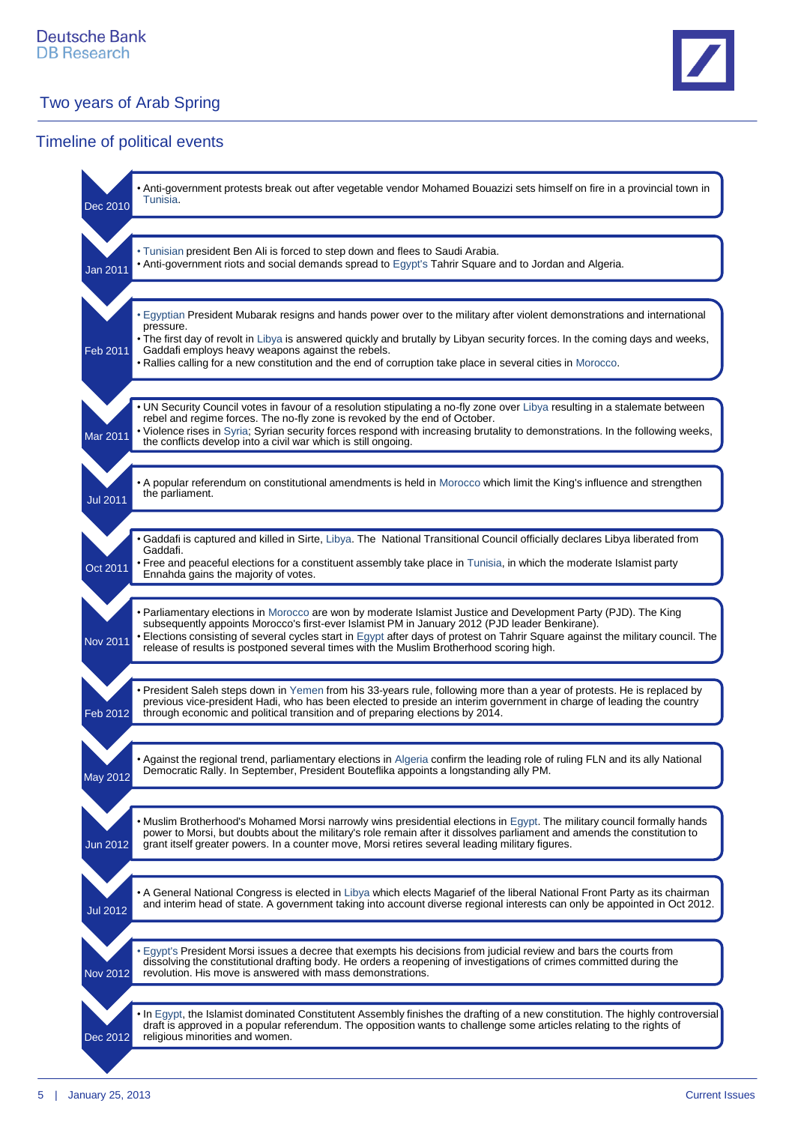

### Timeline of political events

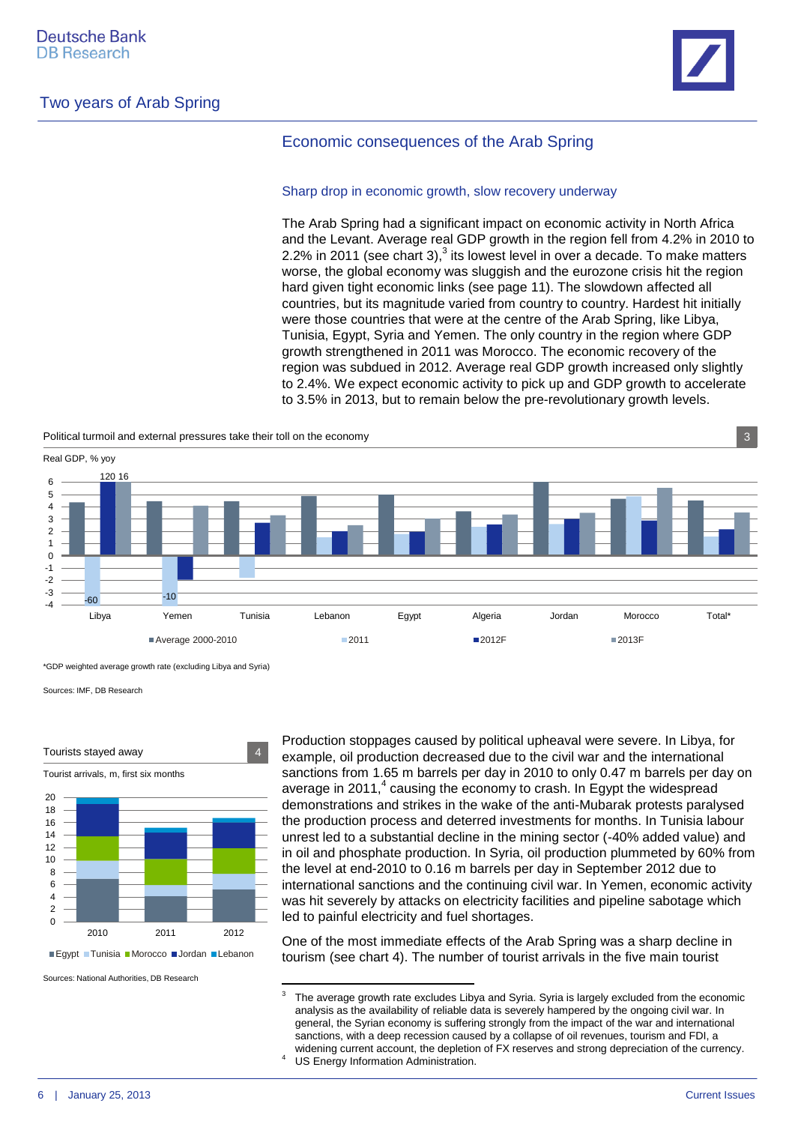

### Economic consequences of the Arab Spring

#### Sharp drop in economic growth, slow recovery underway

The Arab Spring had a significant impact on economic activity in North Africa and the Levant. Average real GDP growth in the region fell from 4.2% in 2010 to 2.2% in 2011 (see chart 3), $3$  its lowest level in over a decade. To make matters worse, the global economy was sluggish and the eurozone crisis hit the region hard given tight economic links (see page 11). The slowdown affected all countries, but its magnitude varied from country to country. Hardest hit initially were those countries that were at the centre of the Arab Spring, like Libya, Tunisia, Egypt, Syria and Yemen. The only country in the region where GDP growth strengthened in 2011 was Morocco. The economic recovery of the region was subdued in 2012. Average real GDP growth increased only slightly to 2.4%. We expect economic activity to pick up and GDP growth to accelerate to 3.5% in 2013, but to remain below the pre-revolutionary growth levels.

Political turmoil and external pressures take their toll on the economy 3



\*GDP weighted average growth rate (excluding Libya and Syria)

Sources: IMF, DB Research



Tourist arrivals, m, first six months



■Egypt Tunisia Morocco Jordan Lebanon

Sources: National Authorities, DB Research

Production stoppages caused by political upheaval were severe. In Libya, for example, oil production decreased due to the civil war and the international sanctions from 1.65 m barrels per day in 2010 to only 0.47 m barrels per day on average in 2011, $4$  causing the economy to crash. In Egypt the widespread demonstrations and strikes in the wake of the anti-Mubarak protests paralysed the production process and deterred investments for months. In Tunisia labour unrest led to a substantial decline in the mining sector (-40% added value) and in oil and phosphate production. In Syria, oil production plummeted by 60% from the level at end-2010 to 0.16 m barrels per day in September 2012 due to international sanctions and the continuing civil war. In Yemen, economic activity was hit severely by attacks on electricity facilities and pipeline sabotage which led to painful electricity and fuel shortages.

One of the most immediate effects of the Arab Spring was a sharp decline in tourism (see chart 4). The number of tourist arrivals in the five main tourist

 3 The average growth rate excludes Libya and Syria. Syria is largely excluded from the economic analysis as the availability of reliable data is severely hampered by the ongoing civil war. In general, the Syrian economy is suffering strongly from the impact of the war and international sanctions, with a deep recession caused by a collapse of oil revenues, tourism and FDI, a widening current account, the depletion of FX reserves and strong depreciation of the currency. <sup>4</sup> US Energy Information Administration.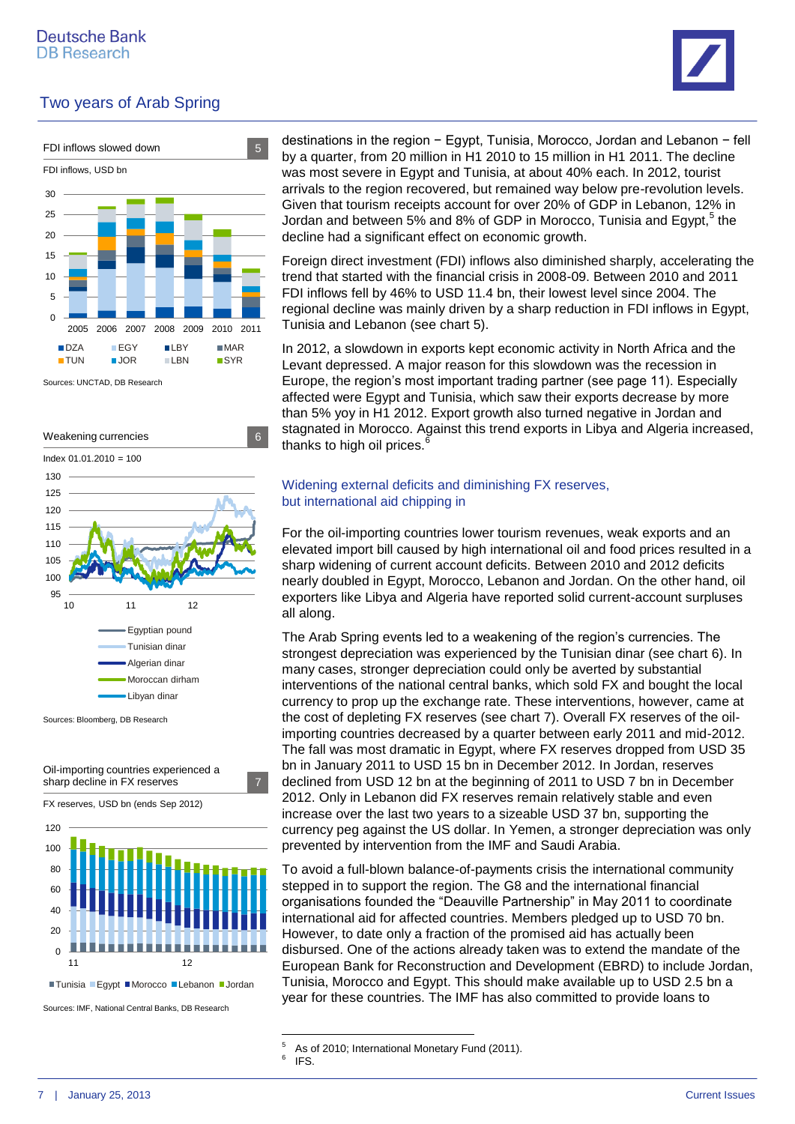





Sources: UNCTAD, DB Research



Sources: Bloomberg, DB Research



Sources: IMF, National Central Banks, DB Research

destinations in the region − Egypt, Tunisia, Morocco, Jordan and Lebanon − fell by a quarter, from 20 million in H1 2010 to 15 million in H1 2011. The decline was most severe in Egypt and Tunisia, at about 40% each. In 2012, tourist arrivals to the region recovered, but remained way below pre-revolution levels. Given that tourism receipts account for over 20% of GDP in Lebanon, 12% in Jordan and between 5% and 8% of GDP in Morocco, Tunisia and Egypt,<sup>5</sup> the decline had a significant effect on economic growth.

Foreign direct investment (FDI) inflows also diminished sharply, accelerating the trend that started with the financial crisis in 2008-09. Between 2010 and 2011 FDI inflows fell by 46% to USD 11.4 bn, their lowest level since 2004. The regional decline was mainly driven by a sharp reduction in FDI inflows in Egypt, Tunisia and Lebanon (see chart 5).

In 2012, a slowdown in exports kept economic activity in North Africa and the Levant depressed. A major reason for this slowdown was the recession in Europe, the region's most important trading partner (see page 11). Especially affected were Egypt and Tunisia, which saw their exports decrease by more than 5% yoy in H1 2012. Export growth also turned negative in Jordan and stagnated in Morocco. Against this trend exports in Libya and Algeria increased, thanks to high oil prices.<sup>4</sup>

#### Widening external deficits and diminishing FX reserves, but international aid chipping in

For the oil-importing countries lower tourism revenues, weak exports and an elevated import bill caused by high international oil and food prices resulted in a sharp widening of current account deficits. Between 2010 and 2012 deficits nearly doubled in Egypt, Morocco, Lebanon and Jordan. On the other hand, oil exporters like Libya and Algeria have reported solid current-account surpluses all along.

The Arab Spring events led to a weakening of the region's currencies. The strongest depreciation was experienced by the Tunisian dinar (see chart 6). In many cases, stronger depreciation could only be averted by substantial interventions of the national central banks, which sold FX and bought the local currency to prop up the exchange rate. These interventions, however, came at the cost of depleting FX reserves (see chart 7). Overall FX reserves of the oilimporting countries decreased by a quarter between early 2011 and mid-2012. The fall was most dramatic in Egypt, where FX reserves dropped from USD 35 bn in January 2011 to USD 15 bn in December 2012. In Jordan, reserves declined from USD 12 bn at the beginning of 2011 to USD 7 bn in December 2012. Only in Lebanon did FX reserves remain relatively stable and even increase over the last two years to a sizeable USD 37 bn, supporting the currency peg against the US dollar. In Yemen, a stronger depreciation was only prevented by intervention from the IMF and Saudi Arabia.

To avoid a full-blown balance-of-payments crisis the international community stepped in to support the region. The G8 and the international financial organisations founded the "Deauville Partnership" in May 2011 to coordinate international aid for affected countries. Members pledged up to USD 70 bn. However, to date only a fraction of the promised aid has actually been disbursed. One of the actions already taken was to extend the mandate of the European Bank for Reconstruction and Development (EBRD) to include Jordan, Tunisia, Morocco and Egypt. This should make available up to USD 2.5 bn a year for these countries. The IMF has also committed to provide loans to

 $\overline{5}$ As of 2010; International Monetary Fund (2011).

<sup>6</sup> IFS.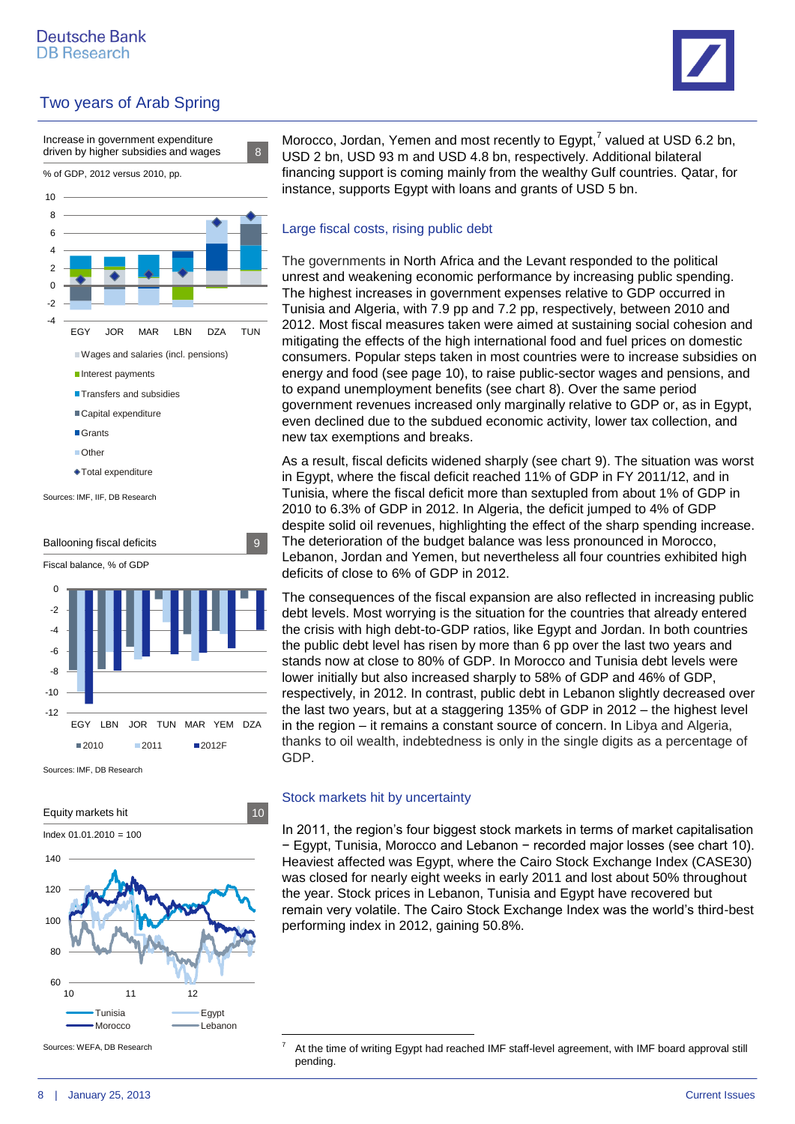





Sources: IMF, DB Research



Sources: WEFA, DB Research

Morocco, Jordan, Yemen and most recently to Egypt,<sup>7</sup> valued at USD 6.2 bn, USD 2 bn, USD 93 m and USD 4.8 bn, respectively. Additional bilateral financing support is coming mainly from the wealthy Gulf countries. Qatar, for instance, supports Egypt with loans and grants of USD 5 bn.

### Large fiscal costs, rising public debt

The governments in North Africa and the Levant responded to the political unrest and weakening economic performance by increasing public spending. The highest increases in government expenses relative to GDP occurred in Tunisia and Algeria, with 7.9 pp and 7.2 pp, respectively, between 2010 and 2012. Most fiscal measures taken were aimed at sustaining social cohesion and mitigating the effects of the high international food and fuel prices on domestic consumers. Popular steps taken in most countries were to increase subsidies on energy and food (see page 10), to raise public-sector wages and pensions, and to expand unemployment benefits (see chart 8). Over the same period government revenues increased only marginally relative to GDP or, as in Egypt, even declined due to the subdued economic activity, lower tax collection, and new tax exemptions and breaks.

As a result, fiscal deficits widened sharply (see chart 9). The situation was worst in Egypt, where the fiscal deficit reached 11% of GDP in FY 2011/12, and in Tunisia, where the fiscal deficit more than sextupled from about 1% of GDP in 2010 to 6.3% of GDP in 2012. In Algeria, the deficit jumped to 4% of GDP despite solid oil revenues, highlighting the effect of the sharp spending increase. The deterioration of the budget balance was less pronounced in Morocco, Lebanon, Jordan and Yemen, but nevertheless all four countries exhibited high deficits of close to 6% of GDP in 2012.

The consequences of the fiscal expansion are also reflected in increasing public debt levels. Most worrying is the situation for the countries that already entered the crisis with high debt-to-GDP ratios, like Egypt and Jordan. In both countries the public debt level has risen by more than 6 pp over the last two years and stands now at close to 80% of GDP. In Morocco and Tunisia debt levels were lower initially but also increased sharply to 58% of GDP and 46% of GDP, respectively, in 2012. In contrast, public debt in Lebanon slightly decreased over the last two years, but at a staggering 135% of GDP in 2012 – the highest level in the region – it remains a constant source of concern. In Libya and Algeria, thanks to oil wealth, indebtedness is only in the single digits as a percentage of GDP.

### Stock markets hit by uncertainty

1

In 2011, the region's four biggest stock markets in terms of market capitalisation − Egypt, Tunisia, Morocco and Lebanon − recorded major losses (see chart 10). Heaviest affected was Egypt, where the Cairo Stock Exchange Index (CASE30) was closed for nearly eight weeks in early 2011 and lost about 50% throughout the year. Stock prices in Lebanon, Tunisia and Egypt have recovered but remain very volatile. The Cairo Stock Exchange Index was the world's third-best performing index in 2012, gaining 50.8%.

At the time of writing Egypt had reached IMF staff-level agreement, with IMF board approval still pending.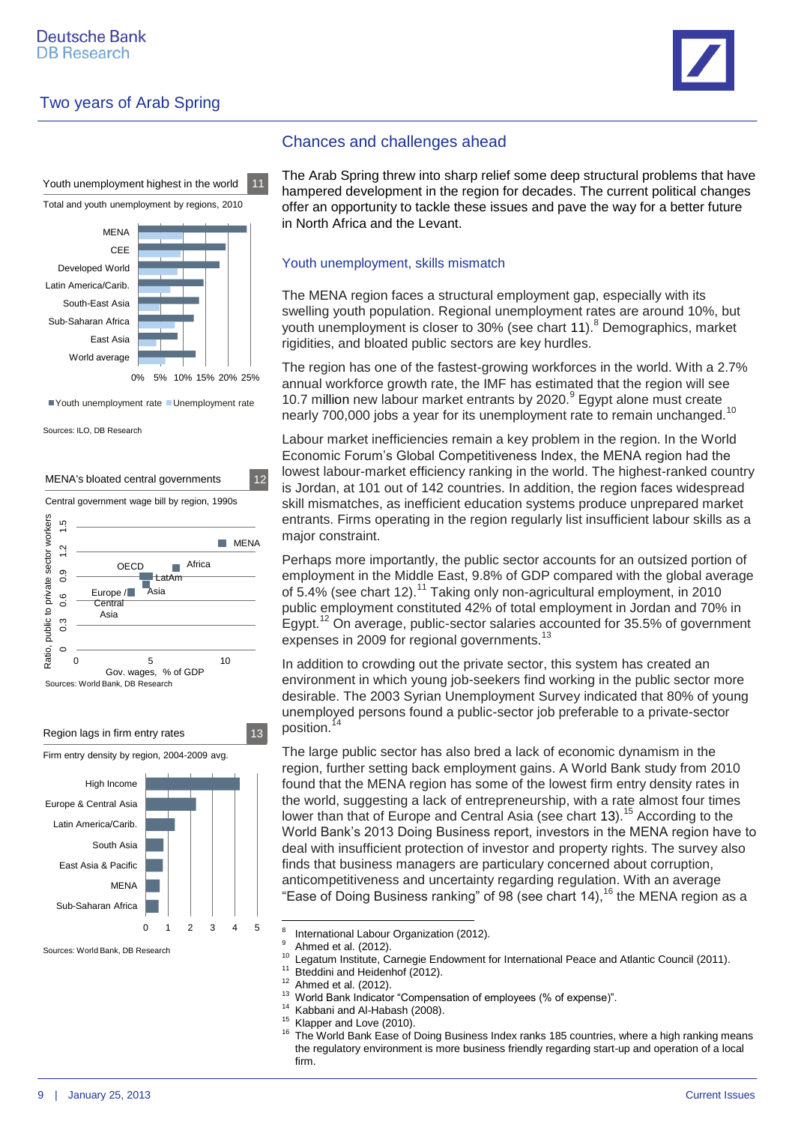

Youth unemployment highest in the world 11

Total and youth unemployment by regions, 2010



Vouth unemployment rate Unemployment rate

Sources: ILO, DB Research





Sources: World Bank, DB Research

### Chances and challenges ahead

The Arab Spring threw into sharp relief some deep structural problems that have hampered development in the region for decades. The current political changes offer an opportunity to tackle these issues and pave the way for a better future in North Africa and the Levant.

#### Youth unemployment, skills mismatch

The MENA region faces a structural employment gap, especially with its swelling youth population. Regional unemployment rates are around 10%, but youth unemployment is closer to 30% (see chart 11).<sup>8</sup> Demographics, market rigidities, and bloated public sectors are key hurdles.

The region has one of the fastest-growing workforces in the world. With a 2.7% annual workforce growth rate, the IMF has estimated that the region will see 10.7 million new labour market entrants by 2020.<sup>9</sup> Egypt alone must create nearly 700,000 jobs a year for its unemployment rate to remain unchanged.<sup>10</sup>

Labour market inefficiencies remain a key problem in the region. In the World Economic Forum's Global Competitiveness Index, the MENA region had the lowest labour-market efficiency ranking in the world. The highest-ranked country is Jordan, at 101 out of 142 countries. In addition, the region faces widespread skill mismatches, as inefficient education systems produce unprepared market entrants. Firms operating in the region regularly list insufficient labour skills as a major constraint.

Perhaps more importantly, the public sector accounts for an outsized portion of employment in the Middle East, 9.8% of GDP compared with the global average of 5.4% (see chart 12).<sup>11</sup> Taking only non-agricultural employment, in 2010 public employment constituted 42% of total employment in Jordan and 70% in Egypt.<sup>12</sup> On average, public-sector salaries accounted for 35.5% of government expenses in 2009 for regional governments.<sup>13</sup>

In addition to crowding out the private sector, this system has created an environment in which young job-seekers find working in the public sector more desirable. The 2003 Syrian Unemployment Survey indicated that 80% of young unemployed persons found a public-sector job preferable to a private-sector position.

The large public sector has also bred a lack of economic dynamism in the region, further setting back employment gains. A World Bank study from 2010 found that the MENA region has some of the lowest firm entry density rates in the world, suggesting a lack of entrepreneurship, with a rate almost four times lower than that of Europe and Central Asia (see chart 13).<sup>15</sup> According to the World Bank's 2013 Doing Business report, investors in the MENA region have to deal with insufficient protection of investor and property rights. The survey also finds that business managers are particulary concerned about corruption, anticompetitiveness and uncertainty regarding regulation. With an average "Ease of Doing Business ranking" of 98 (see chart 14), <sup>16</sup> the MENA region as a

- <sup>14</sup> Kabbani and Al-Habash (2008).
- <sup>15</sup> Klapper and Love (2010).

<sup>-&</sup>lt;br>8 International Labour Organization (2012).

<sup>&</sup>lt;sup>9</sup> Ahmed et al. (2012).

<sup>&</sup>lt;sup>10</sup> Legatum Institute, Carnegie Endowment for International Peace and Atlantic Council (2011).

Bteddini and Heidenhof (2012).

 $12$  Ahmed et al. (2012).

<sup>&</sup>lt;sup>13</sup> World Bank Indicator "Compensation of employees (% of expense)".

The World Bank Ease of Doing Business Index ranks 185 countries, where a high ranking means the regulatory environment is more business friendly regarding start-up and operation of a local firm.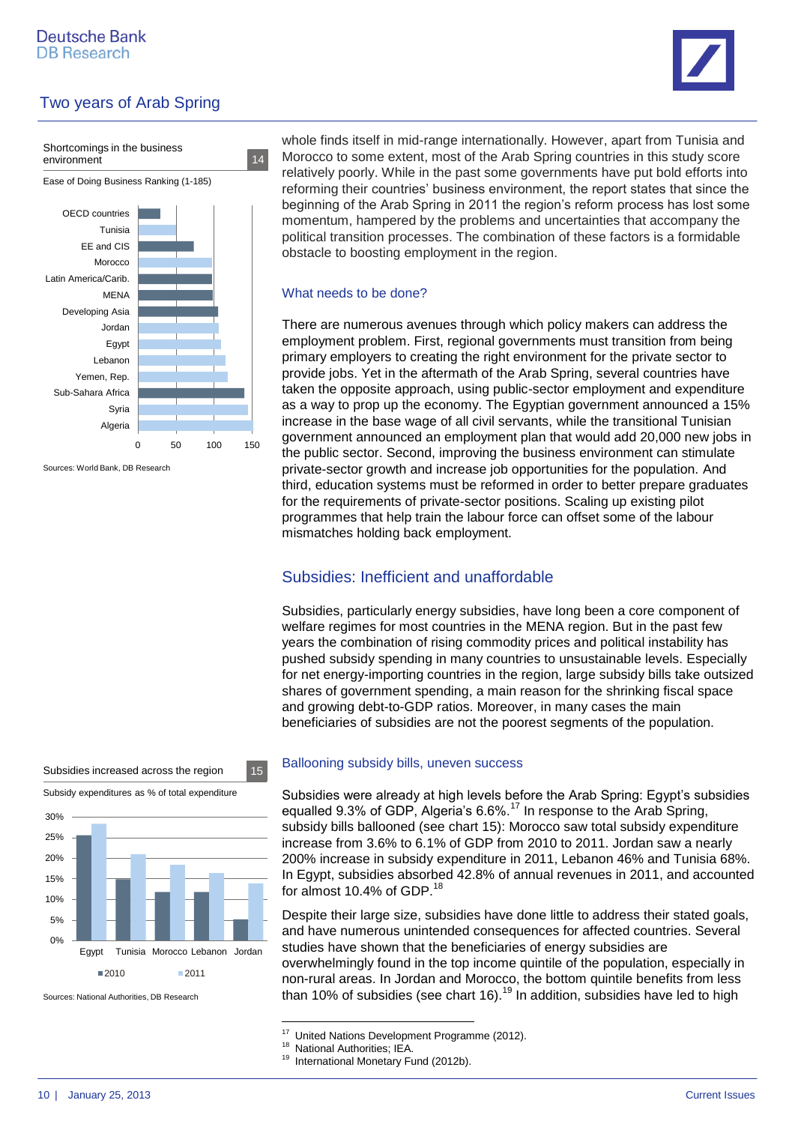



Sources: World Bank, DB Research

whole finds itself in mid-range internationally. However, apart from Tunisia and Morocco to some extent, most of the Arab Spring countries in this study score relatively poorly. While in the past some governments have put bold efforts into reforming their countries' business environment, the report states that since the beginning of the Arab Spring in 2011 the region's reform process has lost some momentum, hampered by the problems and uncertainties that accompany the political transition processes. The combination of these factors is a formidable obstacle to boosting employment in the region.

#### What needs to be done?

There are numerous avenues through which policy makers can address the employment problem. First, regional governments must transition from being primary employers to creating the right environment for the private sector to provide jobs. Yet in the aftermath of the Arab Spring, several countries have taken the opposite approach, using public-sector employment and expenditure as a way to prop up the economy. The Egyptian government announced a 15% increase in the base wage of all civil servants, while the transitional Tunisian government announced an employment plan that would add 20,000 new jobs in the public sector. Second, improving the business environment can stimulate private-sector growth and increase job opportunities for the population. And third, education systems must be reformed in order to better prepare graduates for the requirements of private-sector positions. Scaling up existing pilot programmes that help train the labour force can offset some of the labour mismatches holding back employment.

### Subsidies: Inefficient and unaffordable

Subsidies, particularly energy subsidies, have long been a core component of welfare regimes for most countries in the MENA region. But in the past few years the combination of rising commodity prices and political instability has pushed subsidy spending in many countries to unsustainable levels. Especially for net energy-importing countries in the region, large subsidy bills take outsized shares of government spending, a main reason for the shrinking fiscal space and growing debt-to-GDP ratios. Moreover, in many cases the main beneficiaries of subsidies are not the poorest segments of the population.



Sources: National Authorities, DB Research

#### Ballooning subsidy bills, uneven success

Subsidies were already at high levels before the Arab Spring: Egypt's subsidies equalled 9.3% of GDP, Algeria's 6.6%.<sup>17</sup> In response to the Arab Spring, subsidy bills ballooned (see chart 15): Morocco saw total subsidy expenditure increase from 3.6% to 6.1% of GDP from 2010 to 2011. Jordan saw a nearly 200% increase in subsidy expenditure in 2011, Lebanon 46% and Tunisia 68%. In Egypt, subsidies absorbed 42.8% of annual revenues in 2011, and accounted for almost 10.4% of GDP.<sup>18</sup>

Despite their large size, subsidies have done little to address their stated goals, and have numerous unintended consequences for affected countries. Several studies have shown that the beneficiaries of energy subsidies are overwhelmingly found in the top income quintile of the population, especially in non-rural areas. In Jordan and Morocco, the bottom quintile benefits from less than 10% of subsidies (see chart 16).<sup>19</sup> In addition, subsidies have led to high

 $17$ United Nations Development Programme (2012).

<sup>&</sup>lt;sup>18</sup> National Authorities; IEA.

<sup>&</sup>lt;sup>19</sup> International Monetary Fund (2012b).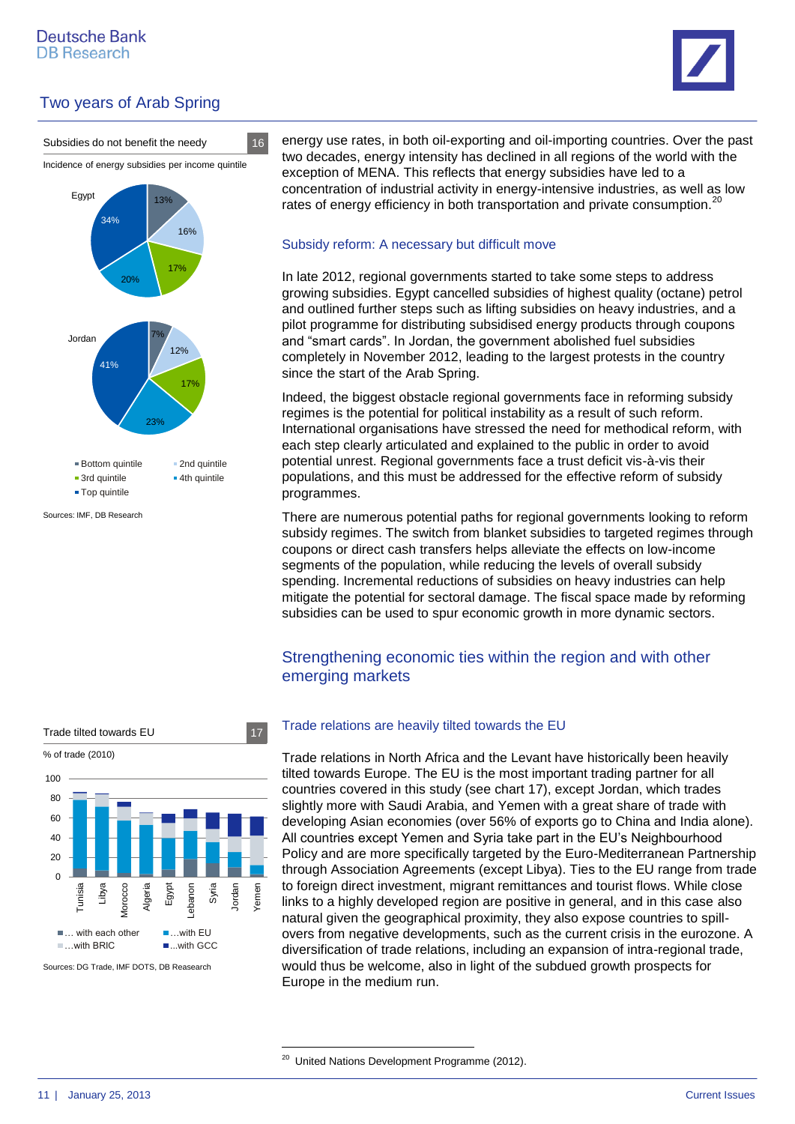



Sources: IMF, DB Research

energy use rates, in both oil-exporting and oil-importing countries. Over the past two decades, energy intensity has declined in all regions of the world with the exception of MENA. This reflects that energy subsidies have led to a concentration of industrial activity in energy-intensive industries, as well as low rates of energy efficiency in both transportation and private consumption. $^{20}$ 

#### Subsidy reform: A necessary but difficult move

In late 2012, regional governments started to take some steps to address growing subsidies. Egypt cancelled subsidies of highest quality (octane) petrol and outlined further steps such as lifting subsidies on heavy industries, and a pilot programme for distributing subsidised energy products through coupons and "smart cards". In Jordan, the government abolished fuel subsidies completely in November 2012, leading to the largest protests in the country since the start of the Arab Spring.

Indeed, the biggest obstacle regional governments face in reforming subsidy regimes is the potential for political instability as a result of such reform. International organisations have stressed the need for methodical reform, with each step clearly articulated and explained to the public in order to avoid potential unrest. Regional governments face a trust deficit vis-à-vis their populations, and this must be addressed for the effective reform of subsidy programmes.

There are numerous potential paths for regional governments looking to reform subsidy regimes. The switch from blanket subsidies to targeted regimes through coupons or direct cash transfers helps alleviate the effects on low-income segments of the population, while reducing the levels of overall subsidy spending. Incremental reductions of subsidies on heavy industries can help mitigate the potential for sectoral damage. The fiscal space made by reforming subsidies can be used to spur economic growth in more dynamic sectors.

### Strengthening economic ties within the region and with other emerging markets



Sources: DG Trade, IMF DOTS, DB Reasearch

### Trade relations are heavily tilted towards the EU

Trade relations in North Africa and the Levant have historically been heavily tilted towards Europe. The EU is the most important trading partner for all countries covered in this study (see chart 17), except Jordan, which trades slightly more with Saudi Arabia, and Yemen with a great share of trade with developing Asian economies (over 56% of exports go to China and India alone). All countries except Yemen and Syria take part in the EU's Neighbourhood Policy and are more specifically targeted by the Euro-Mediterranean Partnership through Association Agreements (except Libya). Ties to the EU range from trade to foreign direct investment, migrant remittances and tourist flows. While close links to a highly developed region are positive in general, and in this case also natural given the geographical proximity, they also expose countries to spillovers from negative developments, such as the current crisis in the eurozone. A diversification of trade relations, including an expansion of intra-regional trade, would thus be welcome, also in light of the subdued growth prospects for Europe in the medium run.

**.** 

<sup>&</sup>lt;sup>20</sup> United Nations Development Programme (2012).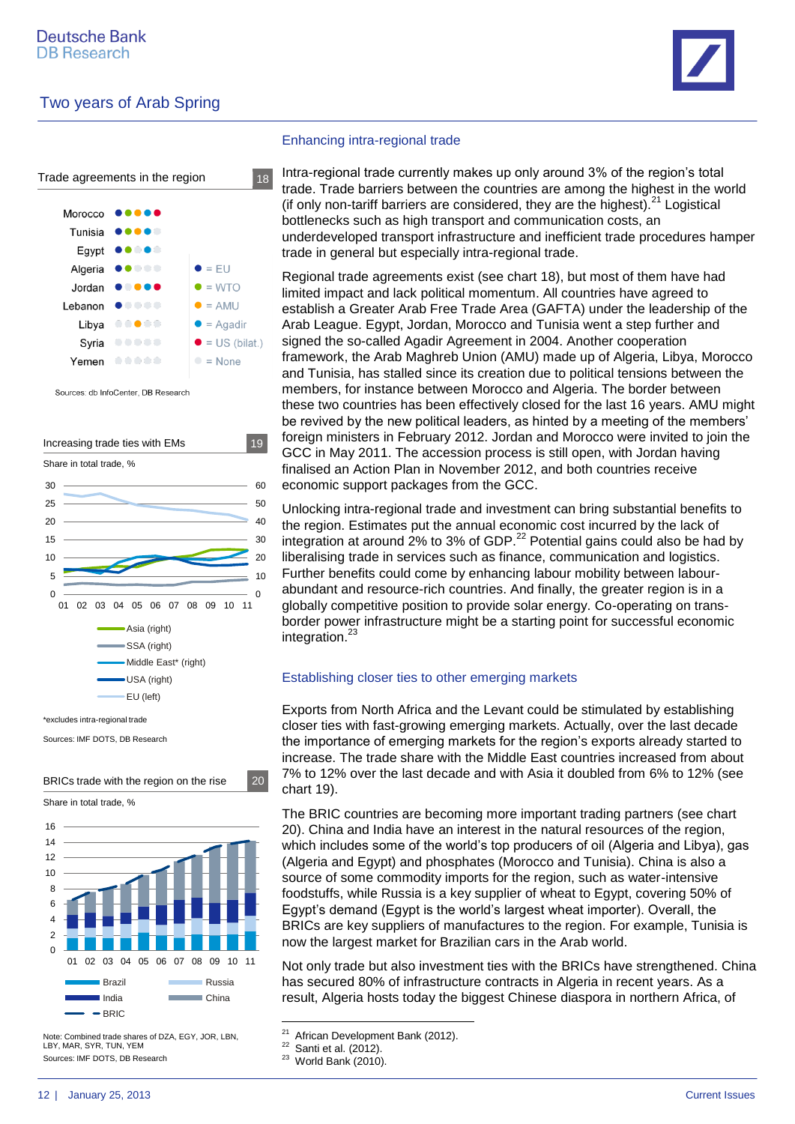



Sources: db InfoCenter, DB Research



\*excludes intra-regional trade

Sources: IMF DOTS, DB Research



BRICs trade with the region on the rise 20

Sources: IMF DOTS, DB Research Note: Combined trade shares of DZA, EGY, JOR, LBN, LBY, MAR, SYR, TUN, YEM

#### Enhancing intra-regional trade

Intra-regional trade currently makes up only around 3% of the region's total trade. Trade barriers between the countries are among the highest in the world (if only non-tariff barriers are considered, they are the highest). $^{21}$  Logistical bottlenecks such as high transport and communication costs, an underdeveloped transport infrastructure and inefficient trade procedures hamper trade in general but especially intra-regional trade.

Regional trade agreements exist (see chart 18), but most of them have had limited impact and lack political momentum. All countries have agreed to establish a Greater Arab Free Trade Area (GAFTA) under the leadership of the Arab League. Egypt, Jordan, Morocco and Tunisia went a step further and signed the so-called Agadir Agreement in 2004. Another cooperation framework, the Arab Maghreb Union (AMU) made up of Algeria, Libya, Morocco and Tunisia, has stalled since its creation due to political tensions between the members, for instance between Morocco and Algeria. The border between these two countries has been effectively closed for the last 16 years. AMU might be revived by the new political leaders, as hinted by a meeting of the members' foreign ministers in February 2012. Jordan and Morocco were invited to join the GCC in May 2011. The accession process is still open, with Jordan having finalised an Action Plan in November 2012, and both countries receive economic support packages from the GCC.

Unlocking intra-regional trade and investment can bring substantial benefits to the region. Estimates put the annual economic cost incurred by the lack of integration at around 2% to 3% of GDP. $^{22}$  Potential gains could also be had by liberalising trade in services such as finance, communication and logistics. Further benefits could come by enhancing labour mobility between labourabundant and resource-rich countries. And finally, the greater region is in a globally competitive position to provide solar energy. Co-operating on transborder power infrastructure might be a starting point for successful economic integration.<sup>23</sup>

#### Establishing closer ties to other emerging markets

Exports from North Africa and the Levant could be stimulated by establishing closer ties with fast-growing emerging markets. Actually, over the last decade the importance of emerging markets for the region's exports already started to increase. The trade share with the Middle East countries increased from about 7% to 12% over the last decade and with Asia it doubled from 6% to 12% (see chart 19).

The BRIC countries are becoming more important trading partners (see chart 20). China and India have an interest in the natural resources of the region, which includes some of the world's top producers of oil (Algeria and Libya), gas (Algeria and Egypt) and phosphates (Morocco and Tunisia). China is also a source of some commodity imports for the region, such as water-intensive foodstuffs, while Russia is a key supplier of wheat to Egypt, covering 50% of Egypt's demand (Egypt is the world's largest wheat importer). Overall, the BRICs are key suppliers of manufactures to the region. For example, Tunisia is now the largest market for Brazilian cars in the Arab world.

Not only trade but also investment ties with the BRICs have strengthened. China has secured 80% of infrastructure contracts in Algeria in recent years. As a result, Algeria hosts today the biggest Chinese diaspora in northern Africa, of

 $21$ African Development Bank (2012).

 $22$  Santi et al. (2012).

 $23$  World Bank (2010).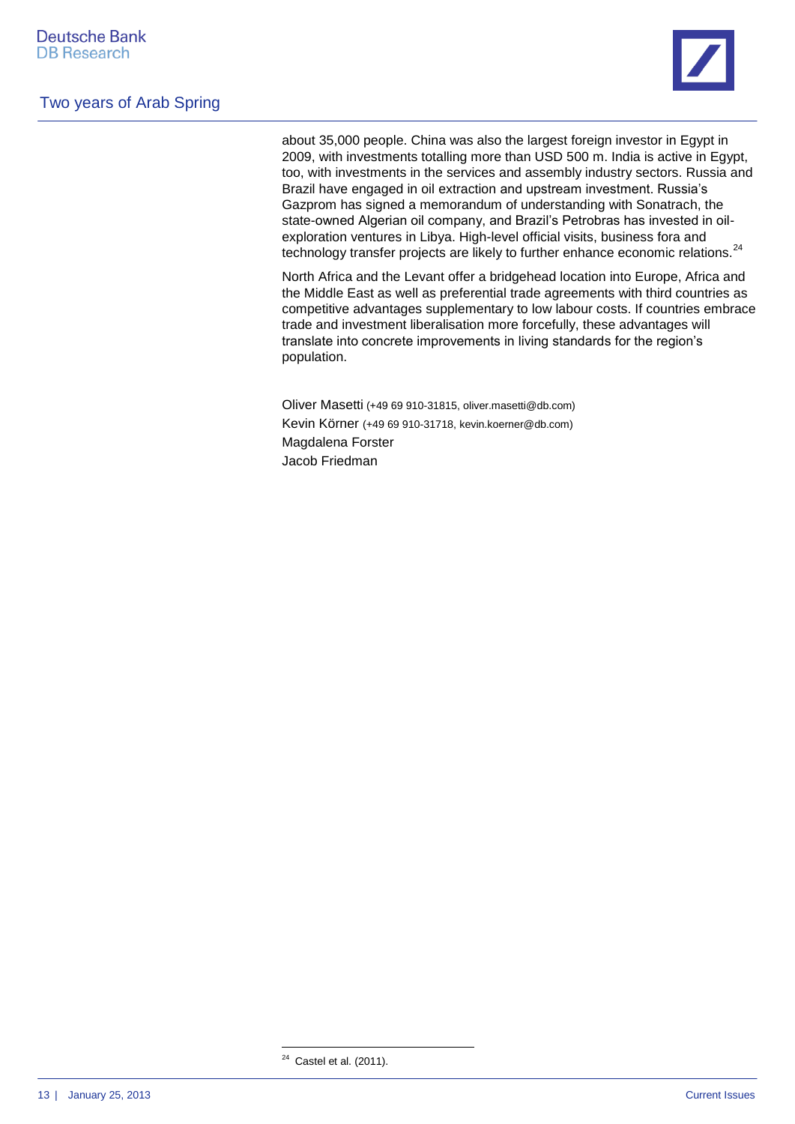

about 35,000 people. China was also the largest foreign investor in Egypt in 2009, with investments totalling more than USD 500 m. India is active in Egypt, too, with investments in the services and assembly industry sectors. Russia and Brazil have engaged in oil extraction and upstream investment. Russia's Gazprom has signed a memorandum of understanding with Sonatrach, the state-owned Algerian oil company, and Brazil's Petrobras has invested in oilexploration ventures in Libya. High-level official visits, business fora and technology transfer projects are likely to further enhance economic relations.<sup>24</sup>

North Africa and the Levant offer a bridgehead location into Europe, Africa and the Middle East as well as preferential trade agreements with third countries as competitive advantages supplementary to low labour costs. If countries embrace trade and investment liberalisation more forcefully, these advantages will translate into concrete improvements in living standards for the region's population.

Oliver Masetti (+49 69 910-31815, oliver.masetti@db.com) Kevin Körner (+49 69 910-31718, [kevin.koerner@db.com\)](mailto:kevin.koerner@db.com) Magdalena Forster Jacob Friedman

**.** 

 $24$  Castel et al. (2011).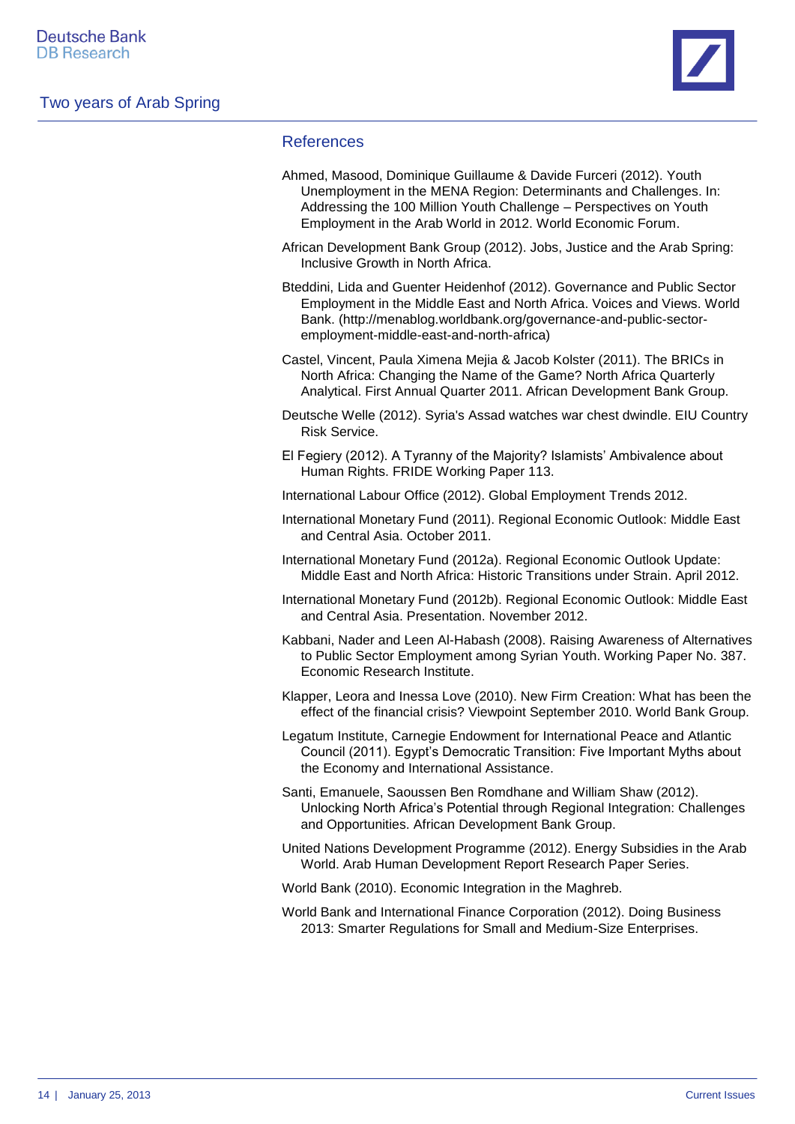

### References

| Ahmed, Masood, Dominique Guillaume & Davide Furceri (2012). Youth<br>Unemployment in the MENA Region: Determinants and Challenges. In:<br>Addressing the 100 Million Youth Challenge - Perspectives on Youth<br>Employment in the Arab World in 2012. World Economic Forum. |
|-----------------------------------------------------------------------------------------------------------------------------------------------------------------------------------------------------------------------------------------------------------------------------|
| African Development Bank Group (2012). Jobs, Justice and the Arab Spring:<br>Inclusive Growth in North Africa.                                                                                                                                                              |
| Bteddini, Lida and Guenter Heidenhof (2012). Governance and Public Sector<br>Employment in the Middle East and North Africa. Voices and Views. World<br>Bank. (http://menablog.worldbank.org/governance-and-public-sector-<br>employment-middle-east-and-north-africa)      |
| Castel, Vincent, Paula Ximena Mejia & Jacob Kolster (2011). The BRICs in<br>North Africa: Changing the Name of the Game? North Africa Quarterly<br>Analytical. First Annual Quarter 2011. African Development Bank Group.                                                   |
| Deutsche Welle (2012). Syria's Assad watches war chest dwindle. EIU Country<br>Risk Service.                                                                                                                                                                                |
| El Fegiery (2012). A Tyranny of the Majority? Islamists' Ambivalence about<br>Human Rights. FRIDE Working Paper 113.                                                                                                                                                        |
| International Labour Office (2012). Global Employment Trends 2012.                                                                                                                                                                                                          |
| International Monetary Fund (2011). Regional Economic Outlook: Middle East<br>and Central Asia. October 2011.                                                                                                                                                               |
| International Monetary Fund (2012a). Regional Economic Outlook Update:<br>Middle East and North Africa: Historic Transitions under Strain. April 2012.                                                                                                                      |
| International Monetary Fund (2012b). Regional Economic Outlook: Middle East<br>and Central Asia. Presentation. November 2012.                                                                                                                                               |
| Kabbani, Nader and Leen Al-Habash (2008). Raising Awareness of Alternatives<br>to Public Sector Employment among Syrian Youth. Working Paper No. 387.<br>Economic Research Institute.                                                                                       |
| Klapper, Leora and Inessa Love (2010). New Firm Creation: What has been the<br>effect of the financial crisis? Viewpoint September 2010. World Bank Group.                                                                                                                  |
| Legatum Institute, Carnegie Endowment for International Peace and Atlantic<br>Council (2011). Egypt's Democratic Transition: Five Important Myths about<br>the Economy and International Assistance.                                                                        |
| Santi, Emanuele, Saoussen Ben Romdhane and William Shaw (2012).<br>Unlocking North Africa's Potential through Regional Integration: Challenges<br>and Opportunities. African Development Bank Group.                                                                        |
| United Nations Development Programme (2012). Energy Subsidies in the Arab<br>World. Arab Human Development Report Research Paper Series.                                                                                                                                    |
| World Bank (2010). Economic Integration in the Maghreb.                                                                                                                                                                                                                     |
| World Bank and International Finance Corporation (2012). Doing Business<br>2013: Smarter Regulations for Small and Medium-Size Enterprises.                                                                                                                                 |